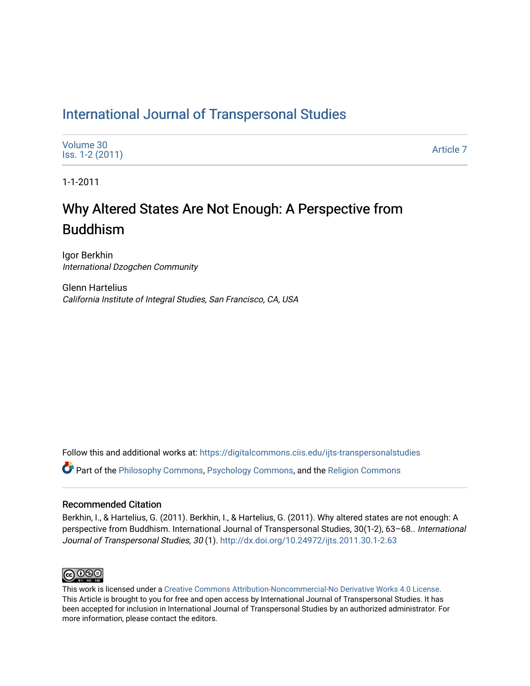## [International Journal of Transpersonal Studies](https://digitalcommons.ciis.edu/ijts-transpersonalstudies)

1-1-2011

# Why Altered States Are Not Enough: A P erspective from Buddhism

Igor Berkhin International Dzogchen Community

Glenn Hartelius California Institute of Integral Studies, San Francisco, CA, USA

Follow this and additional works at: [https://digitalcommons.ciis.edu/ijts-transpersonalstudies](https://digitalcommons.ciis.edu/ijts-transpersonalstudies?utm_source=digitalcommons.ciis.edu%2Fijts-transpersonalstudies%2Fvol30%2Fiss1%2F7&utm_medium=PDF&utm_campaign=PDFCoverPages) 

Part of the [Philosophy Commons,](http://network.bepress.com/hgg/discipline/525?utm_source=digitalcommons.ciis.edu%2Fijts-transpersonalstudies%2Fvol30%2Fiss1%2F7&utm_medium=PDF&utm_campaign=PDFCoverPages) [Psychology Commons,](http://network.bepress.com/hgg/discipline/404?utm_source=digitalcommons.ciis.edu%2Fijts-transpersonalstudies%2Fvol30%2Fiss1%2F7&utm_medium=PDF&utm_campaign=PDFCoverPages) and the [Religion Commons](http://network.bepress.com/hgg/discipline/538?utm_source=digitalcommons.ciis.edu%2Fijts-transpersonalstudies%2Fvol30%2Fiss1%2F7&utm_medium=PDF&utm_campaign=PDFCoverPages)

#### Recommended Citation

Berkhin, I., & Hartelius, G. (2011). Berkhin, I., & Hartelius, G. (2011). Why altered states are not enough: A perspective from Buddhism. International Journal of Transpersonal Studies, 30(1-2), 63–68.. International Journal of Transpersonal Studies, 30 (1). <http://dx.doi.org/10.24972/ijts.2011.30.1-2.63>



This work is licensed under a [Creative Commons Attribution-Noncommercial-No Derivative Works 4.0 License.](https://creativecommons.org/licenses/by-nc-nd/4.0/) This Article is brought to you for free and open access by International Journal of Transpersonal Studies. It has been accepted for inclusion in International Journal of Transpersonal Studies by an authorized administrator. For more information, please contact the editors.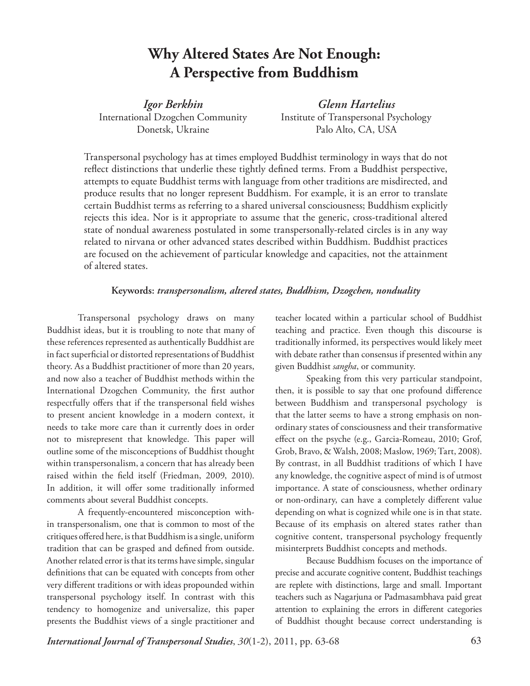## **Why Altered States Are Not Enough: A Perspective from Buddhism**

*Igor Berkhin*  International Dzogchen Community Donetsk, Ukraine

*Glenn Hartelius*  Institute of Transpersonal Psychology Palo Alto, CA, USA

Transpersonal psychology has at times employed Buddhist terminology in ways that do not reflect distinctions that underlie these tightly defined terms. From a Buddhist perspective, attempts to equate Buddhist terms with language from other traditions are misdirected, and produce results that no longer represent Buddhism. For example, it is an error to translate certain Buddhist terms as referring to a shared universal consciousness; Buddhism explicitly rejects this idea. Nor is it appropriate to assume that the generic, cross-traditional altered state of nondual awareness postulated in some transpersonally-related circles is in any way related to nirvana or other advanced states described within Buddhism. Buddhist practices are focused on the achievement of particular knowledge and capacities, not the attainment of altered states.

### **Keywords:** *transpersonalism, altered states, Buddhism, Dzogchen, nonduality*

Transpersonal psychology draws on many Buddhist ideas, but it is troubling to note that many of these references represented as authentically Buddhist are in fact superficial or distorted representations of Buddhist theory. As a Buddhist practitioner of more than 20 years, and now also a teacher of Buddhist methods within the International Dzogchen Community, the first author respectfully offers that if the transpersonal field wishes to present ancient knowledge in a modern context, it needs to take more care than it currently does in order not to misrepresent that knowledge. This paper will outline some of the misconceptions of Buddhist thought within transpersonalism, a concern that has already been raised within the field itself (Friedman, 2009, 2010). In addition, it will offer some traditionally informed comments about several Buddhist concepts.

A frequently-encountered misconception within transpersonalism, one that is common to most of the critiques offered here, is that Buddhism is a single, uniform tradition that can be grasped and defined from outside. Another related error is that its terms have simple, singular definitions that can be equated with concepts from other very different traditions or with ideas propounded within transpersonal psychology itself. In contrast with this tendency to homogenize and universalize, this paper presents the Buddhist views of a single practitioner and

teacher located within a particular school of Buddhist teaching and practice. Even though this discourse is traditionally informed, its perspectives would likely meet with debate rather than consensus if presented within any given Buddhist *sangha*, or community.

Speaking from this very particular standpoint, then, it is possible to say that one profound difference between Buddhism and transpersonal psychology is that the latter seems to have a strong emphasis on nonordinary states of consciousness and their transformative effect on the psyche (e.g., Garcia-Romeau, 2010; Grof, Grob, Bravo, & Walsh, 2008; Maslow, 1969; Tart, 2008). By contrast, in all Buddhist traditions of which I have any knowledge, the cognitive aspect of mind is of utmost importance. A state of consciousness, whether ordinary or non-ordinary, can have a completely different value depending on what is cognized while one is in that state. Because of its emphasis on altered states rather than cognitive content, transpersonal psychology frequently misinterprets Buddhist concepts and methods.

Because Buddhism focuses on the importance of precise and accurate cognitive content, Buddhist teachings are replete with distinctions, large and small. Important teachers such as Nagarjuna or Padmasambhava paid great attention to explaining the errors in different categories of Buddhist thought because correct understanding is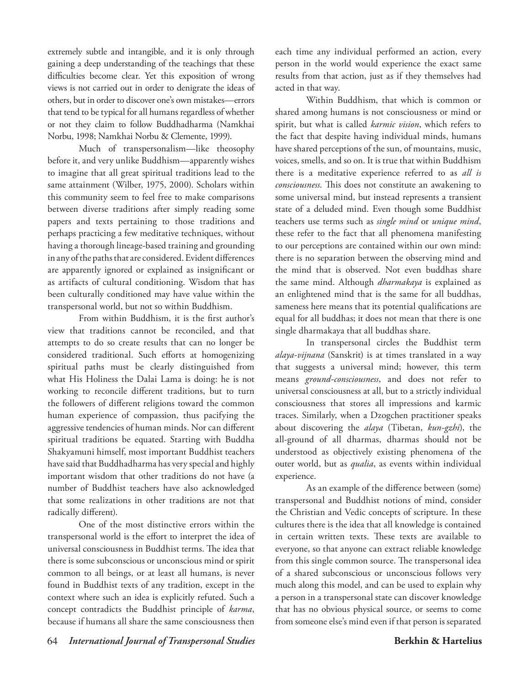extremely subtle and intangible, and it is only through gaining a deep understanding of the teachings that these difficulties become clear. Yet this exposition of wrong views is not carried out in order to denigrate the ideas of others, but in order to discover one's own mistakes—errors that tend to be typical for all humans regardless of whether or not they claim to follow Buddhadharma (Namkhai Norbu, 1998; Namkhai Norbu & Clemente, 1999).

Much of transpersonalism—like theosophy before it, and very unlike Buddhism—apparently wishes to imagine that all great spiritual traditions lead to the same attainment (Wilber, 1975, 2000). Scholars within this community seem to feel free to make comparisons between diverse traditions after simply reading some papers and texts pertaining to those traditions and perhaps practicing a few meditative techniques, without having a thorough lineage-based training and grounding in any of the paths that are considered. Evident differences are apparently ignored or explained as insignificant or as artifacts of cultural conditioning. Wisdom that has been culturally conditioned may have value within the transpersonal world, but not so within Buddhism.

From within Buddhism, it is the first author's view that traditions cannot be reconciled, and that attempts to do so create results that can no longer be considered traditional. Such efforts at homogenizing spiritual paths must be clearly distinguished from what His Holiness the Dalai Lama is doing: he is not working to reconcile different traditions, but to turn the followers of different religions toward the common human experience of compassion, thus pacifying the aggressive tendencies of human minds. Nor can different spiritual traditions be equated. Starting with Buddha Shakyamuni himself, most important Buddhist teachers have said that Buddhadharma has very special and highly important wisdom that other traditions do not have (a number of Buddhist teachers have also acknowledged that some realizations in other traditions are not that radically different).

One of the most distinctive errors within the transpersonal world is the effort to interpret the idea of universal consciousness in Buddhist terms. The idea that there is some subconscious or unconscious mind or spirit common to all beings, or at least all humans, is never found in Buddhist texts of any tradition, except in the context where such an idea is explicitly refuted. Such a concept contradicts the Buddhist principle of *karma*, because if humans all share the same consciousness then

each time any individual performed an action, every person in the world would experience the exact same results from that action, just as if they themselves had acted in that way.

Within Buddhism, that which is common or shared among humans is not consciousness or mind or spirit, but what is called *karmic vision*, which refers to the fact that despite having individual minds, humans have shared perceptions of the sun, of mountains, music, voices, smells, and so on. It is true that within Buddhism there is a meditative experience referred to as *all is consciousness*. This does not constitute an awakening to some universal mind, but instead represents a transient state of a deluded mind. Even though some Buddhist teachers use terms such as *single mind* or *unique mind*, these refer to the fact that all phenomena manifesting to our perceptions are contained within our own mind: there is no separation between the observing mind and the mind that is observed. Not even buddhas share the same mind. Although *dharmakaya* is explained as an enlightened mind that is the same for all buddhas, sameness here means that its potential qualifications are equal for all buddhas; it does not mean that there is one single dharmakaya that all buddhas share.

In transpersonal circles the Buddhist term *alaya-vijnana* (Sanskrit) is at times translated in a way that suggests a universal mind; however, this term means *ground-consciousness*, and does not refer to universal consciousness at all, but to a strictly individual consciousness that stores all impressions and karmic traces. Similarly, when a Dzogchen practitioner speaks about discovering the *alaya* (Tibetan, *kun-gzhi*), the all-ground of all dharmas, dharmas should not be understood as objectively existing phenomena of the outer world, but as *qualia*, as events within individual experience.

As an example of the difference between (some) transpersonal and Buddhist notions of mind, consider the Christian and Vedic concepts of scripture. In these cultures there is the idea that all knowledge is contained in certain written texts. These texts are available to everyone, so that anyone can extract reliable knowledge from this single common source. The transpersonal idea of a shared subconscious or unconscious follows very much along this model, and can be used to explain why a person in a transpersonal state can discover knowledge that has no obvious physical source, or seems to come from someone else's mind even if that person is separated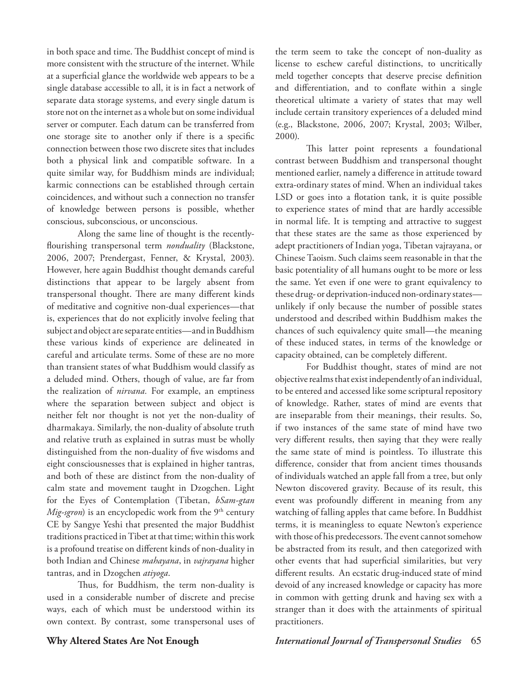in both space and time. The Buddhist concept of mind is more consistent with the structure of the internet. While at a superficial glance the worldwide web appears to be a single database accessible to all, it is in fact a network of separate data storage systems, and every single datum is store not on the internet as a whole but on some individual server or computer. Each datum can be transferred from one storage site to another only if there is a specific connection between those two discrete sites that includes both a physical link and compatible software. In a quite similar way, for Buddhism minds are individual; karmic connections can be established through certain coincidences, and without such a connection no transfer of knowledge between persons is possible, whether conscious, subconscious, or unconscious.

Along the same line of thought is the recentlyflourishing transpersonal term *nonduality* (Blackstone, 2006, 2007; Prendergast, Fenner, & Krystal, 2003). However, here again Buddhist thought demands careful distinctions that appear to be largely absent from transpersonal thought. There are many different kinds of meditative and cognitive non-dual experiences—that is, experiences that do not explicitly involve feeling that subject and object are separate entities—and in Buddhism these various kinds of experience are delineated in careful and articulate terms. Some of these are no more than transient states of what Buddhism would classify as a deluded mind. Others, though of value, are far from the realization of *nirvana.* For example, an emptiness where the separation between subject and object is neither felt nor thought is not yet the non-duality of dharmakaya. Similarly, the non-duality of absolute truth and relative truth as explained in sutras must be wholly distinguished from the non-duality of five wisdoms and eight consciousnesses that is explained in higher tantras, and both of these are distinct from the non-duality of calm state and movement taught in Dzogchen. Light for the Eyes of Contemplation (Tibetan, *bSam-gtan Mig-sgron*) is an encyclopedic work from the 9<sup>th</sup> century CE by Sangye Yeshi that presented the major Buddhist traditions practiced in Tibet at that time; within this work is a profound treatise on different kinds of non-duality in both Indian and Chinese *mahayana*, in *vajrayana* higher tantras, and in Dzogchen *atiyoga*.

Thus, for Buddhism, the term non-duality is used in a considerable number of discrete and precise ways, each of which must be understood within its own context. By contrast, some transpersonal uses of the term seem to take the concept of non-duality as license to eschew careful distinctions, to uncritically meld together concepts that deserve precise definition and differentiation, and to conflate within a single theoretical ultimate a variety of states that may well include certain transitory experiences of a deluded mind (e.g., Blackstone, 2006, 2007; Krystal, 2003; Wilber, 2000).

This latter point represents a foundational contrast between Buddhism and transpersonal thought mentioned earlier, namely a difference in attitude toward extra-ordinary states of mind. When an individual takes LSD or goes into a flotation tank, it is quite possible to experience states of mind that are hardly accessible in normal life. It is tempting and attractive to suggest that these states are the same as those experienced by adept practitioners of Indian yoga, Tibetan vajrayana, or Chinese Taoism. Such claims seem reasonable in that the basic potentiality of all humans ought to be more or less the same. Yet even if one were to grant equivalency to these drug- or deprivation-induced non-ordinary states unlikely if only because the number of possible states understood and described within Buddhism makes the chances of such equivalency quite small—the meaning of these induced states, in terms of the knowledge or capacity obtained, can be completely different.

For Buddhist thought, states of mind are not objective realms that exist independently of an individual, to be entered and accessed like some scriptural repository of knowledge. Rather, states of mind are events that are inseparable from their meanings, their results. So, if two instances of the same state of mind have two very different results, then saying that they were really the same state of mind is pointless. To illustrate this difference, consider that from ancient times thousands of individuals watched an apple fall from a tree, but only Newton discovered gravity. Because of its result, this event was profoundly different in meaning from any watching of falling apples that came before. In Buddhist terms, it is meaningless to equate Newton's experience with those of his predecessors. The event cannot somehow be abstracted from its result, and then categorized with other events that had superficial similarities, but very different results. An ecstatic drug-induced state of mind devoid of any increased knowledge or capacity has more in common with getting drunk and having sex with a stranger than it does with the attainments of spiritual practitioners.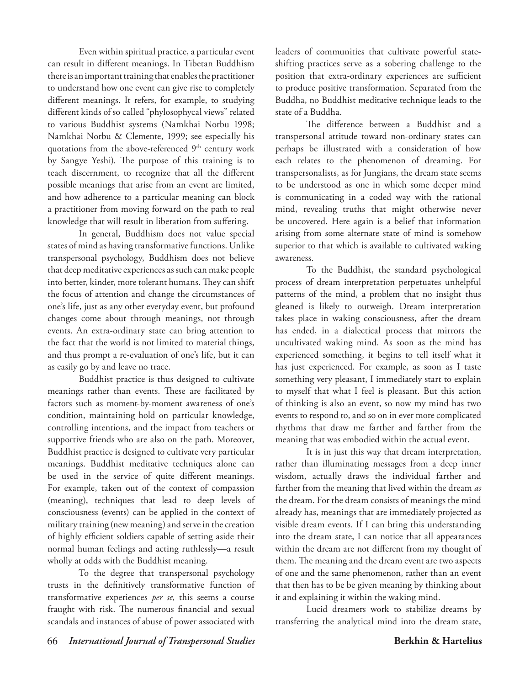Even within spiritual practice, a particular event can result in different meanings. In Tibetan Buddhism there is an important training that enables the practitioner to understand how one event can give rise to completely different meanings. It refers, for example, to studying different kinds of so called "phylosophycal views" related to various Buddhist systems (Namkhai Norbu 1998; Namkhai Norbu & Clemente, 1999; see especially his quotations from the above-referenced 9<sup>th</sup> century work by Sangye Yeshi). The purpose of this training is to teach discernment, to recognize that all the different possible meanings that arise from an event are limited, and how adherence to a particular meaning can block a practitioner from moving forward on the path to real knowledge that will result in liberation from suffering.

In general, Buddhism does not value special states of mind as having transformative functions. Unlike transpersonal psychology, Buddhism does not believe that deep meditative experiences as such can make people into better, kinder, more tolerant humans. They can shift the focus of attention and change the circumstances of one's life, just as any other everyday event, but profound changes come about through meanings, not through events. An extra-ordinary state can bring attention to the fact that the world is not limited to material things, and thus prompt a re-evaluation of one's life, but it can as easily go by and leave no trace.

Buddhist practice is thus designed to cultivate meanings rather than events. These are facilitated by factors such as moment-by-moment awareness of one's condition, maintaining hold on particular knowledge, controlling intentions, and the impact from teachers or supportive friends who are also on the path. Moreover, Buddhist practice is designed to cultivate very particular meanings. Buddhist meditative techniques alone can be used in the service of quite different meanings. For example, taken out of the context of compassion (meaning), techniques that lead to deep levels of consciousness (events) can be applied in the context of military training (new meaning) and serve in the creation of highly efficient soldiers capable of setting aside their normal human feelings and acting ruthlessly—a result wholly at odds with the Buddhist meaning.

To the degree that transpersonal psychology trusts in the definitively transformative function of transformative experiences *per se*, this seems a course fraught with risk. The numerous financial and sexual scandals and instances of abuse of power associated with

leaders of communities that cultivate powerful stateshifting practices serve as a sobering challenge to the position that extra-ordinary experiences are sufficient to produce positive transformation. Separated from the Buddha, no Buddhist meditative technique leads to the state of a Buddha.

The difference between a Buddhist and a transpersonal attitude toward non-ordinary states can perhaps be illustrated with a consideration of how each relates to the phenomenon of dreaming. For transpersonalists, as for Jungians, the dream state seems to be understood as one in which some deeper mind is communicating in a coded way with the rational mind, revealing truths that might otherwise never be uncovered. Here again is a belief that information arising from some alternate state of mind is somehow superior to that which is available to cultivated waking awareness.

To the Buddhist, the standard psychological process of dream interpretation perpetuates unhelpful patterns of the mind, a problem that no insight thus gleaned is likely to outweigh. Dream interpretation takes place in waking consciousness, after the dream has ended, in a dialectical process that mirrors the uncultivated waking mind. As soon as the mind has experienced something, it begins to tell itself what it has just experienced. For example, as soon as I taste something very pleasant, I immediately start to explain to myself that what I feel is pleasant. But this action of thinking is also an event, so now my mind has two events to respond to, and so on in ever more complicated rhythms that draw me farther and farther from the meaning that was embodied within the actual event.

It is in just this way that dream interpretation, rather than illuminating messages from a deep inner wisdom, actually draws the individual farther and farther from the meaning that lived within the dream *as* the dream. For the dream consists of meanings the mind already has, meanings that are immediately projected as visible dream events. If I can bring this understanding into the dream state, I can notice that all appearances within the dream are not different from my thought of them. The meaning and the dream event are two aspects of one and the same phenomenon, rather than an event that then has to be be given meaning by thinking about it and explaining it within the waking mind.

Lucid dreamers work to stabilize dreams by transferring the analytical mind into the dream state,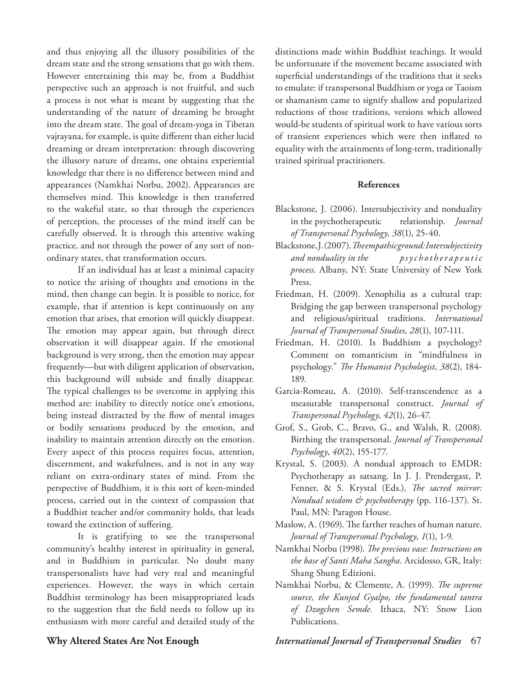and thus enjoying all the illusory possibilities of the dream state and the strong sensations that go with them. However entertaining this may be, from a Buddhist perspective such an approach is not fruitful, and such a process is not what is meant by suggesting that the understanding of the nature of dreaming be brought into the dream state. The goal of dream-yoga in Tibetan vajrayana, for example, is quite different than either lucid dreaming or dream interpretation: through discovering the illusory nature of dreams, one obtains experiential knowledge that there is no difference between mind and appearances (Namkhai Norbu, 2002). Appearances are themselves mind. This knowledge is then transferred to the wakeful state, so that through the experiences of perception, the processes of the mind itself can be carefully observed. It is through this attentive waking practice, and not through the power of any sort of nonordinary states, that transformation occurs.

If an individual has at least a minimal capacity to notice the arising of thoughts and emotions in the mind, then change can begin. It is possible to notice, for example, that if attention is kept continuously on any emotion that arises, that emotion will quickly disappear. The emotion may appear again, but through direct observation it will disappear again. If the emotional background is very strong, then the emotion may appear frequently—but with diligent application of observation, this background will subside and finally disappear. The typical challenges to be overcome in applying this method are: inability to directly notice one's emotions, being instead distracted by the flow of mental images or bodily sensations produced by the emotion, and inability to maintain attention directly on the emotion. Every aspect of this process requires focus, attention, discernment, and wakefulness, and is not in any way reliant on extra-ordinary states of mind. From the perspective of Buddhism, it is this sort of keen-minded process, carried out in the context of compassion that a Buddhist teacher and/or community holds, that leads toward the extinction of suffering.

It is gratifying to see the transpersonal community's healthy interest in spirituality in general, and in Buddhism in particular. No doubt many transpersonalists have had very real and meaningful experiences. However, the ways in which certain Buddhist terminology has been misappropriated leads to the suggestion that the field needs to follow up its enthusiasm with more careful and detailed study of the

distinctions made within Buddhist teachings. It would be unfortunate if the movement became associated with superficial understandings of the traditions that it seeks to emulate: if transpersonal Buddhism or yoga or Taoism or shamanism came to signify shallow and popularized reductions of those traditions, versions which allowed would-be students of spiritual work to have various sorts of transient experiences which were then inflated to equality with the attainments of long-term, traditionally trained spiritual practitioners.

#### **References**

- Blackstone, J. (2006). Intersubjectivity and nonduality in the psychotherapeutic relationship. *Journal of Transpersonal Psychology*, *38*(1), 25-40.
- Blackstone, J. (2007). *The empathic ground: Intersubjectivity and nonduality in the p s y c h o t h e r a p e u t i c process*. Albany, NY: State University of New York Press.
- Friedman, H. (2009). Xenophilia as a cultural trap: Bridging the gap between transpersonal psychology and religious/spiritual traditions. *International Journal of Transpersonal Studies*, *28*(1), 107-111.
- Friedman, H. (2010). Is Buddhism a psychology? Comment on romanticism in "mindfulness in psychology." *The Humanist Psychologist*, *38*(2), 184- 189.
- Garcia-Romeau, A. (2010). Self-transcendence as a measurable transpersonal construct. *Journal of Transpersonal Psychology*, *42*(1), 26-47.
- Grof, S., Grob, C., Bravo, G., and Walsh, R. (2008). Birthing the transpersonal. *Journal of Transpersonal Psychology*, *40*(2), 155-177.
- Krystal, S. (2003). A nondual approach to EMDR: Psychotherapy as satsang. In J. J. Prendergast, P. Fenner, & S. Krystal (Eds.), *The sacred mirror: Nondual wisdom & psychotherapy* (pp. 116-137). St. Paul, MN: Paragon House.
- Maslow, A. (1969). The farther reaches of human nature. *Journal of Transpersonal Psychology*, *1*(1), 1-9.
- Namkhai Norbu (1998). *The precious vase: Instructions on the base of Santi Maha Sangha*. Arcidosso, GR, Italy: Shang Shung Edizioni.
- Namkhai Norbu, & Clemente, A. (1999). *The supreme source, the Kunjed Gyalpo, the fundamental tantra of Dzogchen Semde.* Ithaca, NY: Snow Lion Publications.

### **Why Altered States Are Not Enough** *International Journal of Transpersonal Studies* 67